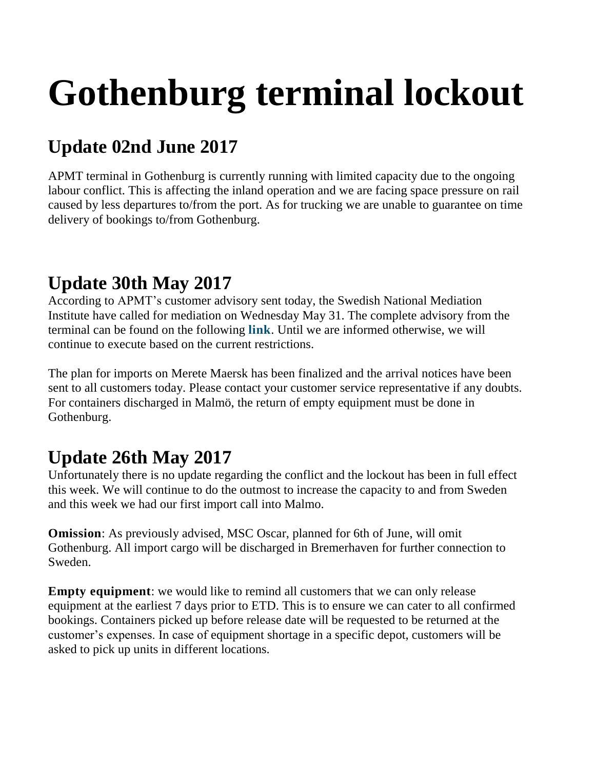# **Gothenburg terminal lockout**

## **Update 02nd June 2017**

APMT terminal in Gothenburg is currently running with limited capacity due to the ongoing labour conflict. This is affecting the inland operation and we are facing space pressure on rail caused by less departures to/from the port. As for trucking we are unable to guarantee on time delivery of bookings to/from Gothenburg.

#### **Update 30th May 2017**

According to APMT's customer advisory sent today, the Swedish National Mediation Institute have called for mediation on Wednesday May 31. The complete advisory from the terminal can be found on the following **[link](http://www.anpdm.com/newsletterweb/44445A47714443584473444559/41465B44734142504B7041465D4B71)**. Until we are informed otherwise, we will continue to execute based on the current restrictions.

The plan for imports on Merete Maersk has been finalized and the arrival notices have been sent to all customers today. Please contact your customer service representative if any doubts. For containers discharged in Malmö, the return of empty equipment must be done in Gothenburg.

### **Update 26th May 2017**

Unfortunately there is no update regarding the conflict and the lockout has been in full effect this week. We will continue to do the outmost to increase the capacity to and from Sweden and this week we had our first import call into Malmo.

**Omission**: As previously advised, MSC Oscar, planned for 6th of June, will omit Gothenburg. All import cargo will be discharged in Bremerhaven for further connection to Sweden.

**Empty equipment**: we would like to remind all customers that we can only release equipment at the earliest 7 days prior to ETD. This is to ensure we can cater to all confirmed bookings. Containers picked up before release date will be requested to be returned at the customer's expenses. In case of equipment shortage in a specific depot, customers will be asked to pick up units in different locations.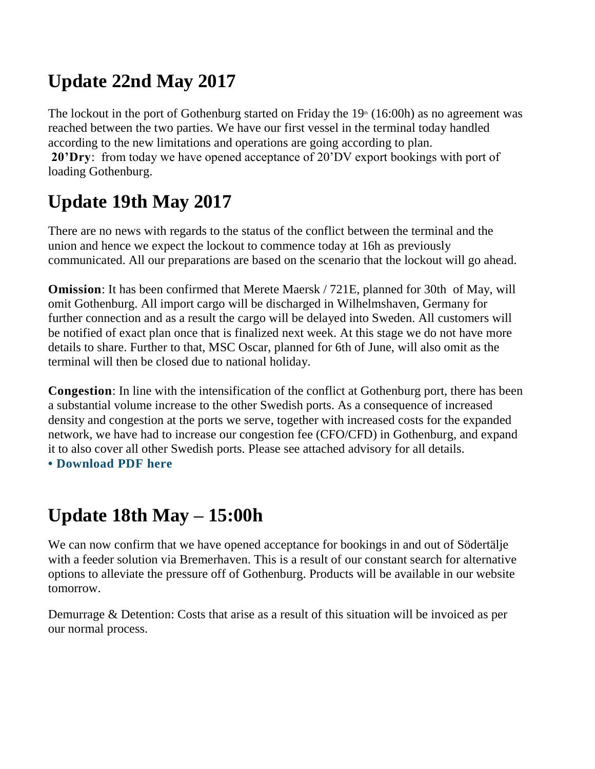#### **Update 22nd May 2017**

The lockout in the port of Gothenburg started on Friday the  $19<sup>th</sup>$  (16:00h) as no agreement was reached between the two parties. We have our first vessel in the terminal today handled according to the new limitations and operations are going according to plan. **20'Dry**: from today we have opened acceptance of 20'DV export bookings with port of loading Gothenburg.

## **Update 19th May 2017**

There are no news with regards to the status of the conflict between the terminal and the union and hence we expect the lockout to commence today at 16h as previously communicated. All our preparations are based on the scenario that the lockout will go ahead.

**Omission**: It has been confirmed that Merete Maersk / 721E, planned for 30th of May, will omit Gothenburg. All import cargo will be discharged in Wilhelmshaven, Germany for further connection and as a result the cargo will be delayed into Sweden. All customers will be notified of exact plan once that is finalized next week. At this stage we do not have more details to share. Further to that, MSC Oscar, planned for 6th of June, will also omit as the terminal will then be closed due to national holiday.

**Congestion**: In line with the intensification of the conflict at Gothenburg port, there has been a substantial volume increase to the other Swedish ports. As a consequence of increased density and congestion at the ports we serve, together with increased costs for the expanded network, we have had to increase our congestion fee (CFO/CFD) in Gothenburg, and expand it to also cover all other Swedish ports. Please see attached advisory for all details. **• [Download](https://www2.maerskline.com/-/media/ml/files/pdf/content/contingency/ml-customer-advisory-congestion-fee-sweden.pdf?la=en) PDF here**

#### **Update 18th May – 15:00h**

We can now confirm that we have opened acceptance for bookings in and out of Södertälje with a feeder solution via Bremerhaven. This is a result of our constant search for alternative options to alleviate the pressure off of Gothenburg. Products will be available in our website tomorrow.

Demurrage & Detention: Costs that arise as a result of this situation will be invoiced as per our normal process.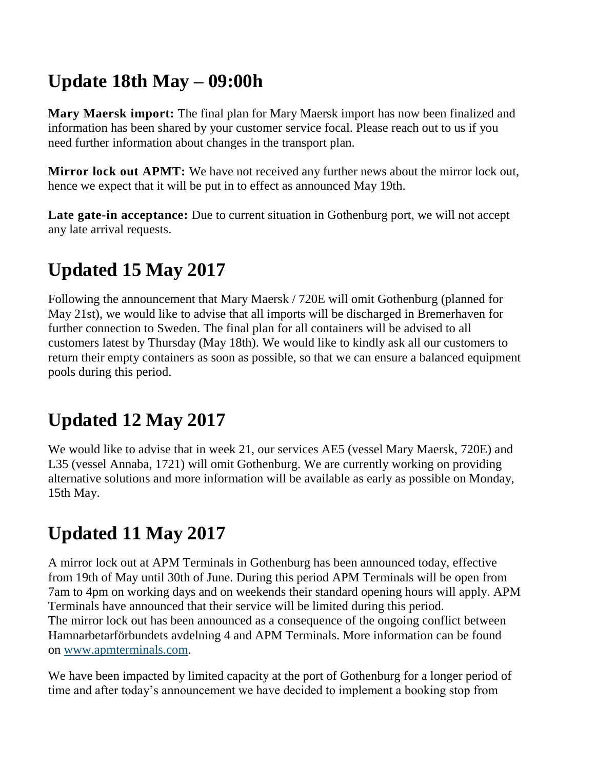#### **Update 18th May – 09:00h**

**Mary Maersk import:** The final plan for Mary Maersk import has now been finalized and information has been shared by your customer service focal. Please reach out to us if you need further information about changes in the transport plan.

**Mirror lock out APMT:** We have not received any further news about the mirror lock out, hence we expect that it will be put in to effect as announced May 19th.

**Late gate-in acceptance:** Due to current situation in Gothenburg port, we will not accept any late arrival requests.

## **Updated 15 May 2017**

Following the announcement that Mary Maersk / 720E will omit Gothenburg (planned for May 21st), we would like to advise that all imports will be discharged in Bremerhaven for further connection to Sweden. The final plan for all containers will be advised to all customers latest by Thursday (May 18th). We would like to kindly ask all our customers to return their empty containers as soon as possible, so that we can ensure a balanced equipment pools during this period.

## **Updated 12 May 2017**

We would like to advise that in week 21, our services AE5 (vessel Mary Maersk, 720E) and L35 (vessel Annaba, 1721) will omit Gothenburg. We are currently working on providing alternative solutions and more information will be available as early as possible on Monday, 15th May.

## **Updated 11 May 2017**

A mirror lock out at APM Terminals in Gothenburg has been announced today, effective from 19th of May until 30th of June. During this period APM Terminals will be open from 7am to 4pm on working days and on weekends their standard opening hours will apply. APM Terminals have announced that their service will be limited during this period. The mirror lock out has been announced as a consequence of the ongoing conflict between Hamnarbetarförbundets avdelning 4 and APM Terminals. More information can be found on [www.apmterminals.com.](http://www.apmterminals.com/)

We have been impacted by limited capacity at the port of Gothenburg for a longer period of time and after today's announcement we have decided to implement a booking stop from